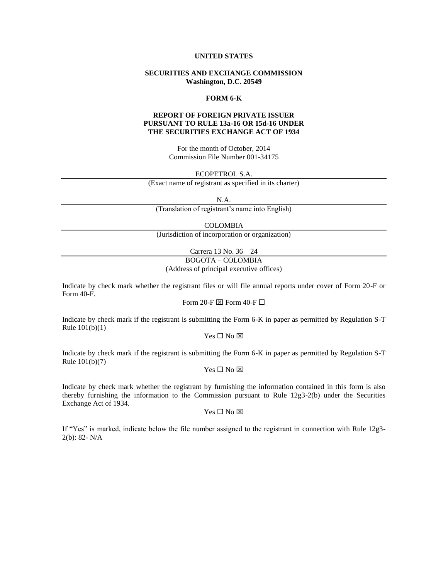### **UNITED STATES**

# **SECURITIES AND EXCHANGE COMMISSION Washington, D.C. 20549**

#### **FORM 6-K**

# **REPORT OF FOREIGN PRIVATE ISSUER PURSUANT TO RULE 13a-16 OR 15d-16 UNDER THE SECURITIES EXCHANGE ACT OF 1934**

For the month of October, 2014 Commission File Number 001-34175

ECOPETROL S.A.

(Exact name of registrant as specified in its charter)

N.A.

(Translation of registrant's name into English)

COLOMBIA

(Jurisdiction of incorporation or organization)

Carrera 13 No. 36 – 24

BOGOTA – COLOMBIA

(Address of principal executive offices)

Indicate by check mark whether the registrant files or will file annual reports under cover of Form 20-F or Form 40-F.

Form 20-F  $\boxtimes$  Form 40-F  $\Box$ 

Indicate by check mark if the registrant is submitting the Form 6-K in paper as permitted by Regulation S-T Rule 101(b)(1)

 $Yes \Box No \boxtimes$ 

Indicate by check mark if the registrant is submitting the Form 6-K in paper as permitted by Regulation S-T Rule 101(b)(7)

### $Yes \Box No \boxtimes$

Indicate by check mark whether the registrant by furnishing the information contained in this form is also thereby furnishing the information to the Commission pursuant to Rule 12g3-2(b) under the Securities Exchange Act of 1934.

 $Yes \Box No \boxtimes$ 

If "Yes" is marked, indicate below the file number assigned to the registrant in connection with Rule 12g3- 2(b): 82- N/A